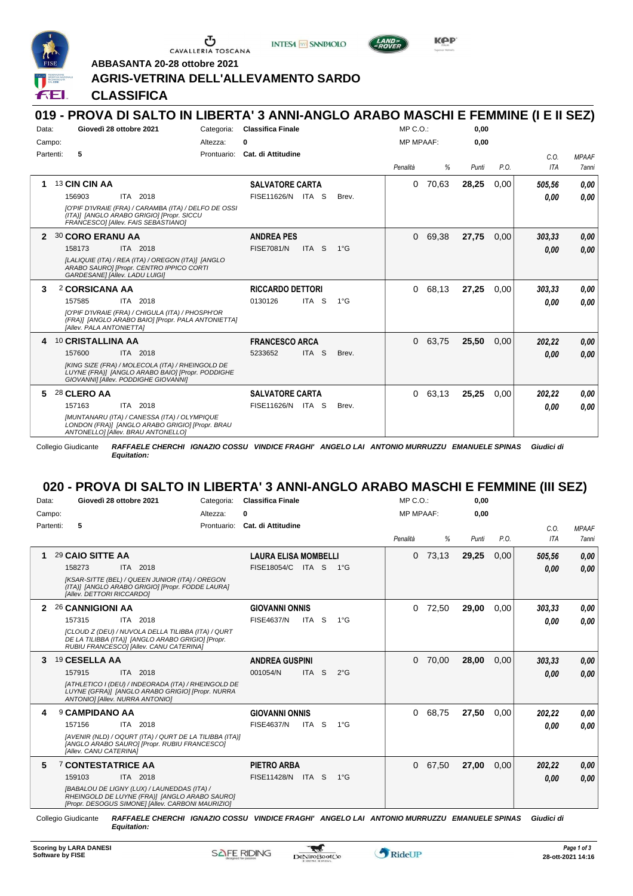

Ⴇ CAVALLERIA TOSCANA

**INTESA** M SANPAOLO





**ABBASANTA 20-28 ottobre 2021**

### **AGRIS-VETRINA DELL'ALLEVAMENTO SARDO**

#### FEI. **CLASSIFICA 019 - PROVA DI SALTO IN LIBERTA' 3 ANNI-ANGLO ARABO MASCHI E FEMMINE (I E II SEZ)** MP C.O.: **0,00** Data: **Giovedì 28 ottobre 2021** Categoria: Classifica Finale Altezza: **0** Campo: MP MPAAF: **0,00** Partenti: **5** Prontuario: **Cat. di Attitudine** *C.O. MPAAF Penalità % Punti P.O. ITA 7anni* **1** 13 **CIN CIN AA SALVATORE CARTA** 0 70,63 **28,25** 0,00 *505,56 0,00* ITA 2018 156903 ITA 2018 FISE11626/N ITA S Brev. **0,00 0,00** *0,00 [O'PIF D'IVRAIE (FRA) / CARAMBA (ITA) / DELFO DE OSSI (ITA)] [ANGLO ARABO GRIGIO] [Propr. SICCU FRANCESCO] [Allev. FAIS SEBASTIANO]* **2** 30 **CORO ERANU AA ANDREA PES** 0 69,38 **27,75** 0,00 *303,33 0,00* ITA 2018 ITA S 1°G *0,00* 158173 ITA 2018 FISE7081/N ITA S 1°G **0,00 0,00** *[LALIQUIE (ITA) / REA (ITA) / OREGON (ITA)] [ANGLO ARABO SAURO] [Propr. CENTRO IPPICO CORTI GARDESANE] [Allev. LADU LUIGI]* **3** 2 **CORSICANA AA RICCARDO DETTORI** 0 68,13 **27,25** 0,00 *303,33 0,00* ITA 2018 ITA S 1°G 157585 0130126 *0,00 0,00 [O'PIF D'IVRAIE (FRA) / CHIGULA (ITA) / PHOSPH'OR (FRA)] [ANGLO ARABO BAIO] [Propr. PALA ANTONIETTA] [Allev. PALA ANTONIETTA]* **4** 10 **CRISTALLINA AA FRANCESCO ARCA** 0 63,75 **25,50** 0,00 *202,22 0,00* ITA 2018 ITA S Brev. 157600 5233652 *0,00 0,00 [KING SIZE (FRA) / MOLECOLA (ITA) / RHEINGOLD DE LUYNE (FRA)] [ANGLO ARABO BAIO] [Propr. PODDIGHE GIOVANNI] [Allev. PODDIGHE GIOVANNI]* **5** 28 **CLERO AA SALVATORE CARTA** 0 63,13 **25,25** 0,00 *202,22 0,00* ITA 2018 *0,00* 157163 ITA 2018 FISE11626/N ITA S Brev. **0,00 0,00** *[MUNTANARU (ITA) / CANESSA (ITA) / OLYMPIQUE LONDON (FRA)] [ANGLO ARABO GRIGIO] [Propr. BRAU ANTONELLO] [Allev. BRAU ANTONELLO]*

Collegio Giudicante *RAFFAELE CHERCHI IGNAZIO COSSU VINDICE FRAGHI' ANGELO LAI ANTONIO MURRUZZU EMANUELE SPINAS Giudici di Equitation:*

### **020 - PROVA DI SALTO IN LIBERTA' 3 ANNI-ANGLO ARABO MASCHI E FEMMINE (III SEZ)**

| Data:          |           | Giovedì 28 ottobre 2021   |                                                                                                                                                    | Categoria:  | <b>Classifica Finale</b>    |            |    |               | $MP C. O.$ :     |       | 0,00  |      |            |              |
|----------------|-----------|---------------------------|----------------------------------------------------------------------------------------------------------------------------------------------------|-------------|-----------------------------|------------|----|---------------|------------------|-------|-------|------|------------|--------------|
| Campo:         |           |                           |                                                                                                                                                    | Altezza:    | 0                           |            |    |               | <b>MP MPAAF:</b> |       | 0,00  |      |            |              |
|                | Partenti: | 5                         |                                                                                                                                                    | Prontuario: | Cat. di Attitudine          |            |    |               |                  |       |       |      | C.0.       | <b>MPAAF</b> |
|                |           |                           |                                                                                                                                                    |             |                             |            |    |               | Penalità         | %     | Punti | P.O. | <b>ITA</b> | 7anni        |
| 1              |           | 29 CAIO SITTE AA          |                                                                                                                                                    |             | <b>LAURA ELISA MOMBELLI</b> |            |    |               | 0                | 73,13 | 29,25 | 0,00 | 505,56     | 0,00         |
|                |           | 158273                    | 2018<br>ITA I                                                                                                                                      |             | FISE18054/C                 | ITA S      |    | $1^{\circ}G$  |                  |       |       |      | 0.00       | 0,00         |
|                |           | [Allev. DETTORI RICCARDO] | [KSAR-SITTE (BEL) / QUEEN JUNIOR (ITA) / OREGON<br>(ITA)] [ANGLO ARABO GRIGIO] [Propr. FODDE LAURA]                                                |             |                             |            |    |               |                  |       |       |      |            |              |
| $\overline{2}$ |           | 26 CANNIGIONI AA          |                                                                                                                                                    |             | <b>GIOVANNI ONNIS</b>       |            |    |               | 0                | 72,50 | 29,00 | 0,00 | 303,33     | 0,00         |
|                |           | 157315                    | 2018<br>ITA                                                                                                                                        |             | <b>FISE4637/N</b>           | ITA        | S  | $1^{\circ}G$  |                  |       |       |      | 0.00       | 0.00         |
|                |           |                           | [CLOUD Z (DEU) / NUVOLA DELLA TILIBBA (ITA) / QURT<br>DE LA TILIBBA (ITA)] [ANGLO ARABO GRIGIO] [Propr.<br>RUBIU FRANCESCOI [Allev. CANU CATERINA] |             |                             |            |    |               |                  |       |       |      |            |              |
| 3              |           | 19 CESELLA AA             |                                                                                                                                                    |             | <b>ANDREA GUSPINI</b>       |            |    |               | 0                | 70,00 | 28,00 | 0,00 | 303,33     | 0,00         |
|                |           | 157915                    | 2018<br><b>ITA</b>                                                                                                                                 |             | 001054/N                    | <b>ITA</b> | -S | $2^{\circ}$ G |                  |       |       |      | 0,00       | 0.00         |
|                |           |                           | [ATHLETICO I (DEU) / INDEORADA (ITA) / RHEINGOLD DE<br>LUYNE (GFRA)] [ANGLO ARABO GRIGIO] [Propr. NURRA<br>ANTONIO] [Allev. NURRA ANTONIO]         |             |                             |            |    |               |                  |       |       |      |            |              |
| 4              |           | <b>9 CAMPIDANO AA</b>     |                                                                                                                                                    |             | <b>GIOVANNI ONNIS</b>       |            |    |               | 0                | 68,75 | 27,50 | 0,00 | 202,22     | 0,00         |
|                |           | 157156                    | 2018<br>ITA.                                                                                                                                       |             | <b>FISE4637/N</b>           | ITA        | -S | $1^{\circ}G$  |                  |       |       |      | 0.00       | 0.00         |
|                |           |                           | [AVENIR (NLD) / OQURT (ITA) / QURT DE LA TILIBBA (ITA)]                                                                                            |             |                             |            |    |               |                  |       |       |      |            |              |

*[AVENIR (NLD) / OQURT (ITA) / QURT DE LA TILIBBA (ITA)] [ANGLO ARABO SAURO] [Propr. RUBIU FRANCESCO] [Allev. CANU CATERINA]* **5** 7 **CONTESTATRICE AA** ITA 2018 **PIETRO ARBA** *[BABALOU DE LIGNY (LUX) / LAUNEDDAS (ITA) / RHEINGOLD DE LUYNE (FRA)] [ANGLO ARABO SAURO] [Propr. DESOGUS SIMONE] [Allev. CARBONI MAURIZIO]* ITA S 1°G 159103 FISE11428/N *0,00* 0 67,50 **27,00** 0,00 *202,22 0,00 0,00*

Collegio Giudicante *RAFFAELE CHERCHI IGNAZIO COSSU VINDICE FRAGHI' ANGELO LAI ANTONIO MURRUZZU EMANUELE SPINAS Giudici di Equitation:*

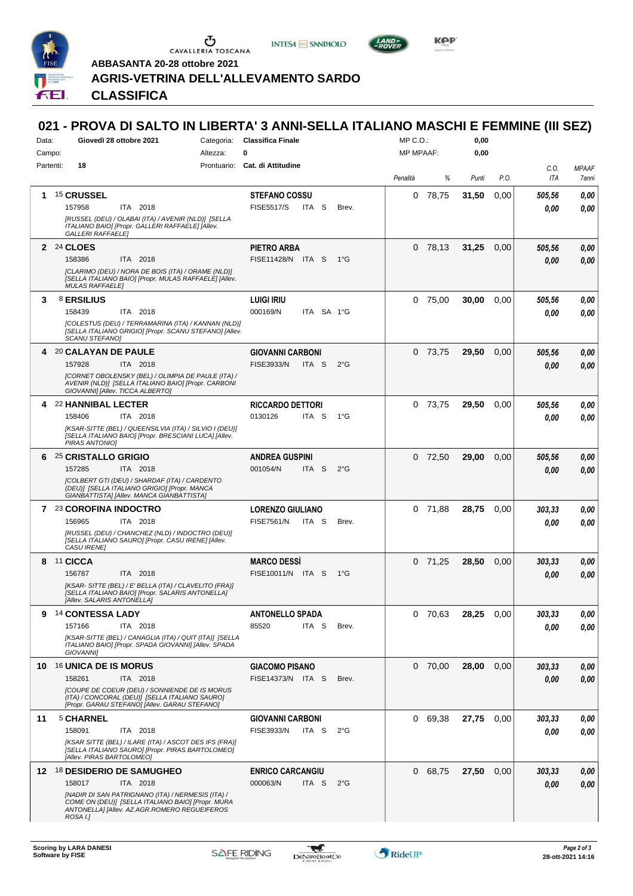

 $\begin{array}{c}\n\bullet \\
\bullet \\
\bullet \\
\bullet \\
\bullet\n\end{array}$  CAVALLERIA TOSCANA





**Kep** 

**ABBASANTA 20-28 ottobre 2021**

# **AGRIS-VETRINA DELL'ALLEVAMENTO SARDO**

*Equitation:* **CLASSIFICA**

# **021 - PROVA DI SALTO IN LIBERTA' 3 ANNI-SELLA ITALIANO MASCHI E FEMMINE (III SEZ)**

| Data:     | Giovedì 28 ottobre 2021                                                                                                                                            | <b>Classifica Finale</b><br>Categoria: |                                                       |               |                  | MP C. O.  |       |      |                |              |
|-----------|--------------------------------------------------------------------------------------------------------------------------------------------------------------------|----------------------------------------|-------------------------------------------------------|---------------|------------------|-----------|-------|------|----------------|--------------|
| Campo:    |                                                                                                                                                                    | Altezza:                               | O                                                     |               | <b>MP MPAAF:</b> |           | 0,00  |      |                |              |
| Partenti: | 18                                                                                                                                                                 |                                        | Prontuario: Cat. di Attitudine                        |               |                  |           |       |      | C.O.           | <b>MPAAF</b> |
|           |                                                                                                                                                                    |                                        |                                                       |               | Penalità         | %         | Punti | P.O. | <b>ITA</b>     | 7anni        |
|           | 1 15 CRUSSEL                                                                                                                                                       |                                        | <b>STEFANO COSSU</b>                                  |               |                  | $0$ 78,75 | 31,50 | 0,00 | 505,56         | 0,00         |
|           | 157958<br>ITA 2018<br>[RUSSEL (DEU) / OLABAI (ITA) / AVENIR (NLD)] [SELLA                                                                                          |                                        | <b>FISE5517/S</b><br>ITA S                            | Brev.         |                  |           |       |      | 0.00           | 0.00         |
|           | ITALIANO BAIO] [Propr. GALLERI RAFFAELE] [Allev.                                                                                                                   |                                        |                                                       |               |                  |           |       |      |                |              |
|           | <b>GALLERI RAFFAELEI</b>                                                                                                                                           |                                        |                                                       |               |                  |           |       |      |                |              |
|           | 2 24 CLOES<br>ITA 2018<br>158386                                                                                                                                   |                                        | PIETRO ARBA<br>FISE11428/N ITA S                      | 1°G           |                  | $0$ 78,13 | 31,25 | 0,00 | 505,56<br>0.00 | 0,00<br>0,00 |
|           | [CLARIMO (DEU) / NORA DE BOIS (ITA) / ORAME (NLD)]                                                                                                                 |                                        |                                                       |               |                  |           |       |      |                |              |
|           | [SELLA ITALIANO BAIO] [Propr. MULAS RAFFAELE] [Allev.<br><b>MULAS RAFFAELE]</b>                                                                                    |                                        |                                                       |               |                  |           |       |      |                |              |
| 3         | <b>8 ERSILIUS</b>                                                                                                                                                  |                                        | <b>LUIGI IRIU</b>                                     |               |                  | $0$ 75,00 | 30,00 | 0,00 | 505,56         | 0,00         |
|           | ITA 2018<br>158439                                                                                                                                                 |                                        | 000169/N<br>ITA SA 1°G                                |               |                  |           |       |      | 0.00           | 0.00         |
|           | [COLESTUS (DEU) / TERRAMARINA (ITA) / KANNAN (NLD)]<br>[SELLA ITALIANO GRIGIO] [Propr. SCANU STEFANO] [Allev.                                                      |                                        |                                                       |               |                  |           |       |      |                |              |
|           | SCANU STEFANO]                                                                                                                                                     |                                        |                                                       |               |                  |           |       |      |                |              |
| 4         | 20 CALAYAN DE PAULE                                                                                                                                                |                                        | <b>GIOVANNI CARBONI</b>                               |               |                  | 0 73,75   | 29,50 | 0,00 | 505,56         | 0,00         |
|           | 157928<br>ITA 2018                                                                                                                                                 |                                        | <b>FISE3933/N</b><br>ITA <sub>S</sub>                 | $2^{\circ}$ G |                  |           |       |      | 0.00           | 0.00         |
|           | [CORNET OBOLENSKY (BEL) / OLIMPIA DE PAULE (ITA) /<br>AVENIR (NLD)] [SELLA ITALIANO BAIO] [Propr. CARBONI<br>GIOVANNI] [Allev. TICCA ALBERTO]                      |                                        |                                                       |               |                  |           |       |      |                |              |
| 4         | 22 HANNIBAL LECTER                                                                                                                                                 |                                        | <b>RICCARDO DETTORI</b>                               |               |                  | 0 73,75   | 29,50 | 0,00 | 505,56         | 0.00         |
|           | 158406<br>ITA 2018                                                                                                                                                 |                                        | 0130126<br>ITA S                                      | $1^{\circ}G$  |                  |           |       |      | 0.00           | 0.00         |
|           | [KSAR-SITTE (BEL) / QUEENSILVIA (ITA) / SILVIO I (DEU)]<br>[SELLA ITALIANO BAIO] [Propr. BRESCIANI LUCA] [Allev.<br>PIRAS ANTONIO]                                 |                                        |                                                       |               |                  |           |       |      |                |              |
| 6         | 25 CRISTALLO GRIGIO                                                                                                                                                |                                        | <b>ANDREA GUSPINI</b>                                 |               |                  | $0$ 72,50 | 29,00 | 0,00 | 505,56         | 0,00         |
|           | 157285<br>ITA 2018                                                                                                                                                 |                                        | 001054/N<br>ITA S                                     | $2^{\circ}$ G |                  |           |       |      | 0.00           | 0.00         |
|           | [COLBERT GTI (DEU) / SHARDAF (ITA) / CARDENTO<br>(DEU)] [SELLA ITALIANO GRIGIO] [Propr. MANCA                                                                      |                                        |                                                       |               |                  |           |       |      |                |              |
|           | GIANBATTISTA] [Allev. MANCA GIANBATTISTA]                                                                                                                          |                                        |                                                       |               |                  |           |       |      |                |              |
|           | 7 23 COROFINA INDOCTRO<br>156965<br>ITA 2018                                                                                                                       |                                        | <b>LORENZO GIULIANO</b><br><b>FISE7561/N</b><br>ITA S | Brev.         |                  | $0$ 71,88 | 28,75 | 0.00 | 303,33<br>0.00 | 0,00<br>0.00 |
|           | [RUSSEL (DEU) / CHANCHEZ (NLD) / INDOCTRO (DEU)]                                                                                                                   |                                        |                                                       |               |                  |           |       |      |                |              |
|           | [SELLA ITALIANO SAURO] [Propr. CASU IRENE] [Allev.<br><b>CASU IRENEI</b>                                                                                           |                                        |                                                       |               |                  |           |       |      |                |              |
| 8         | 11 CICCA                                                                                                                                                           |                                        | <b>MARCO DESSI</b>                                    |               |                  | $0$ 71,25 | 28,50 | 0,00 | 303,33         | 0,00         |
|           | 156787<br>ITA 2018                                                                                                                                                 |                                        | FISE10011/N ITA S                                     | 1°G           |                  |           |       |      | 0,00           | 0.00         |
|           | [KSAR- SITTE (BEL) / E' BELLA (ITA) / CLAVELITO (FRA)]<br>[SELLA ITALIANO BAIO] [Propr. SALARIS ANTONELLA]                                                         |                                        |                                                       |               |                  |           |       |      |                |              |
|           | [Allev. SALARIS ANTONELLA]                                                                                                                                         |                                        |                                                       |               |                  |           |       |      |                |              |
| 9         | 14 CONTESSA LADY                                                                                                                                                   |                                        | <b>ANTONELLO SPADA</b>                                |               |                  | 0 70,63   | 28,25 | 0,00 | 303,33         | 0,00         |
|           | 157166<br>ITA 2018<br>[KSAR-SITTE (BEL) / CANAGLIA (ITA) / QUIT (ITA)] [SELLA                                                                                      |                                        | 85520<br>ITA S                                        | Brev.         |                  |           |       |      | 0.00           | 0.00         |
|           | ITALIANO BAIOI [Propr. SPADA GIOVANNI] [Allev. SPADA<br>GIOVANNI]                                                                                                  |                                        |                                                       |               |                  |           |       |      |                |              |
| 10        | <b>16 UNICA DE IS MORUS</b>                                                                                                                                        |                                        | <b>GIACOMO PISANO</b>                                 |               |                  | 0, 70, 00 | 28,00 | 0,00 | 303,33         | 0,00         |
|           | 158261<br>ITA 2018                                                                                                                                                 |                                        | FISE14373/N ITA S                                     | Brev.         |                  |           |       |      | 0,00           | 0,00         |
|           | [COUPE DE COEUR (DEU) / SONNIENDE DE IS MORUS<br>(ITA) / CONCORAL (DEU)] [SELLA ITALIANO SAURO]<br>[Propr. GARAU STEFANO] [Allev. GARAU STEFANO]                   |                                        |                                                       |               |                  |           |       |      |                |              |
| 11        | 5 CHARNEL                                                                                                                                                          |                                        | <b>GIOVANNI CARBONI</b>                               |               |                  | 0 69,38   | 27,75 | 0.00 | 303,33         | 0,00         |
|           | 158091<br>ITA 2018                                                                                                                                                 |                                        | FISE3933/N<br>ITA S                                   | $2^{\circ}$ G |                  |           |       |      | 0.00           | 0,00         |
|           | [KSAR SITTE (BEL) / ILARE (ITA) / ASCOT DES IFS (FRA)]<br>[SELLA ITALIANO SAURO] [Propr. PIRAS BARTOLOMEO]<br>[Allev. PIRAS BARTOLOMEO]                            |                                        |                                                       |               |                  |           |       |      |                |              |
| 12        | <sup>18</sup> DESIDERIO DE SAMUGHEO                                                                                                                                |                                        | <b>ENRICO CARCANGIU</b>                               |               |                  | 0 68,75   | 27,50 | 0,00 | 303,33         | 0,00         |
|           | 158017<br>ITA 2018                                                                                                                                                 |                                        | 000063/N<br>ITA S                                     | $2^{\circ}$ G |                  |           |       |      | 0.00           | 0,00         |
|           | [NADIR DI SAN PATRIGNANO (ITA) / NERMESIS (ITA) /<br>COME ON (DEU)] [SELLA ITALIANO BAIO] [Propr. MURA<br>ANTONELLA] [Allev. AZ.AGR.ROMERO REGUEIFEROS<br>ROSA I.1 |                                        |                                                       |               |                  |           |       |      |                |              |
|           |                                                                                                                                                                    |                                        |                                                       |               |                  |           |       |      |                |              |